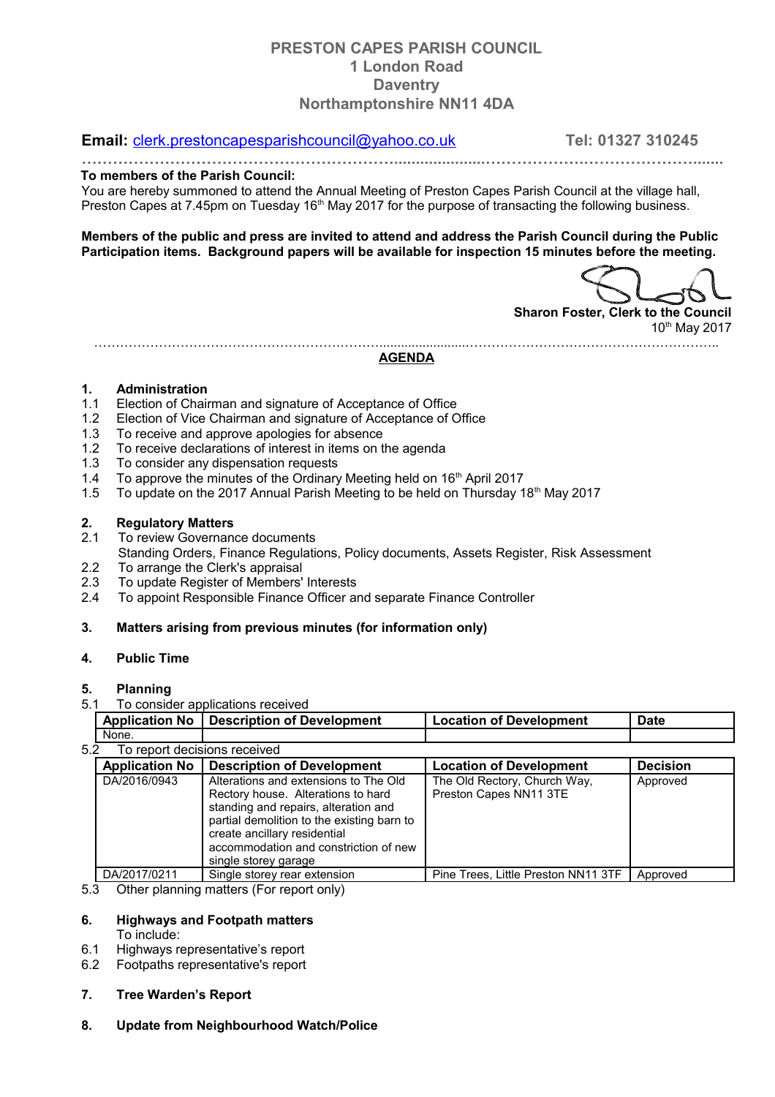# **PRESTON CAPES PARISH COUNCIL 1 London Road Daventry Northamptonshire NN11 4DA**

## **Email:** [clerk.prestoncapesparishcouncil@yahoo.co.uk](mailto:clerk.prestoncapesparishcouncil@yahoo.co.uk) **Tel: 01327 310245**

**…………………………………………………….....................……………….………………….......**

#### **To members of the Parish Council:**

You are hereby summoned to attend the Annual Meeting of Preston Capes Parish Council at the village hall, Preston Capes at 7.45pm on Tuesday 16<sup>th</sup> May 2017 for the purpose of transacting the following business.

**Members of the public and press are invited to attend and address the Parish Council during the Public Participation items. Background papers will be available for inspection 15 minutes before the meeting.**

**Sharon Foster, Clerk to the Council** 10th May 2017

…………………………………………………………........................…………………………………………………..

**AGENDA**

#### **1. Administration**

- 1.1 Election of Chairman and signature of Acceptance of Office
- 1.2 Election of Vice Chairman and signature of Acceptance of Office
- 1.3 To receive and approve apologies for absence
- 1.2 To receive declarations of interest in items on the agenda
- 1.3 To consider any dispensation requests
- 1.4 To approve the minutes of the Ordinary Meeting held on 16<sup>th</sup> April 2017
- 1.5 To update on the 2017 Annual Parish Meeting to be held on Thursday 18th May 2017

#### **2. Regulatory Matters**

- 2.1 To review Governance documents Standing Orders, Finance Regulations, Policy documents, Assets Register, Risk Assessment
- 2.2 To arrange the Clerk's appraisal
- 2.3 To update Register of Members' Interests
- 2.4 To appoint Responsible Finance Officer and separate Finance Controller

## **3. Matters arising from previous minutes (for information only)**

#### **4. Public Time**

#### **5. Planning**

## 5.1 To consider applications received

| <b>Application No</b>               | <b>Description of Development</b>                                                                                                                                                                                                                                  | <b>Location of Development</b>                         | <b>Date</b>     |  |  |
|-------------------------------------|--------------------------------------------------------------------------------------------------------------------------------------------------------------------------------------------------------------------------------------------------------------------|--------------------------------------------------------|-----------------|--|--|
| None.                               |                                                                                                                                                                                                                                                                    |                                                        |                 |  |  |
| To report decisions received<br>5.2 |                                                                                                                                                                                                                                                                    |                                                        |                 |  |  |
| <b>Application No</b>               | <b>Description of Development</b>                                                                                                                                                                                                                                  | <b>Location of Development</b>                         | <b>Decision</b> |  |  |
| DA/2016/0943                        | Alterations and extensions to The Old<br>Rectory house. Alterations to hard<br>standing and repairs, alteration and<br>partial demolition to the existing barn to<br>create ancillary residential<br>accommodation and constriction of new<br>single storey garage | The Old Rectory, Church Way,<br>Preston Capes NN11 3TE | Approved        |  |  |
| DA/2017/0211                        | Single storey rear extension                                                                                                                                                                                                                                       | Pine Trees, Little Preston NN11 3TF                    | Approved        |  |  |

#### 5.3 Other planning matters (For report only)

# **6. Highways and Footpath matters**

To include:

- 6.1 Highways representative's report
- 6.2 Footpaths representative's report

### **7. Tree Warden's Report**

**8. Update from Neighbourhood Watch/Police**